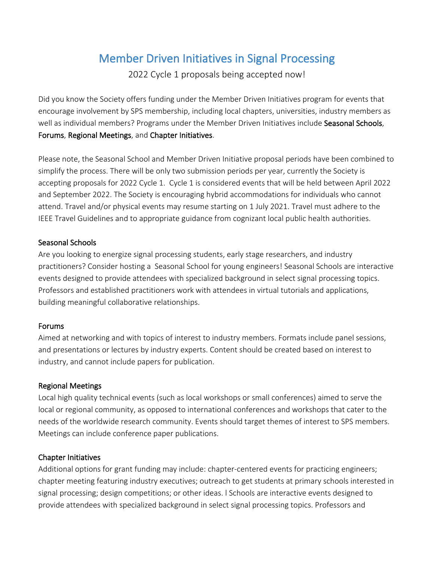# Member Driven Initiatives in Signal Processing

2022 Cycle 1 proposals being accepted now!

Did you know the Society offers funding under the Member Driven Initiatives program for events that encourage involvement by SPS membership, including local chapters, universities, industry members as well as individual members? Programs under the Member Driven Initiatives include Seasonal Schools, Forums, Regional Meetings, and Chapter Initiatives.

Please note, the Seasonal School and Member Driven Initiative proposal periods have been combined to simplify the process. There will be only two submission periods per year, currently the Society is accepting proposals for 2022 Cycle 1. Cycle 1 is considered events that will be held between April 2022 and September 2022. The Society is encouraging hybrid accommodations for individuals who cannot attend. Travel and/or physical events may resume starting on 1 July 2021. Travel must adhere to the IEEE Travel Guidelines and to appropriate guidance from cognizant local public health authorities.

## Seasonal Schools

Are you looking to energize signal processing students, early stage researchers, and industry practitioners? Consider hosting a Seasonal School for young engineers! Seasonal Schools are interactive events designed to provide attendees with specialized background in select signal processing topics. Professors and established practitioners work with attendees in virtual tutorials and applications, building meaningful collaborative relationships.

## Forums

Aimed at networking and with topics of interest to industry members. Formats include panel sessions, and presentations or lectures by industry experts. Content should be created based on interest to industry, and cannot include papers for publication.

## Regional Meetings

Local high quality technical events (such as local workshops or small conferences) aimed to serve the local or regional community, as opposed to international conferences and workshops that cater to the needs of the worldwide research community. Events should target themes of interest to SPS members. Meetings can include conference paper publications.

## Chapter Initiatives

Additional options for grant funding may include: chapter-centered events for practicing engineers; chapter meeting featuring industry executives; outreach to get students at primary schools interested in signal processing; design competitions; or other ideas. l Schools are interactive events designed to provide attendees with specialized background in select signal processing topics. Professors and